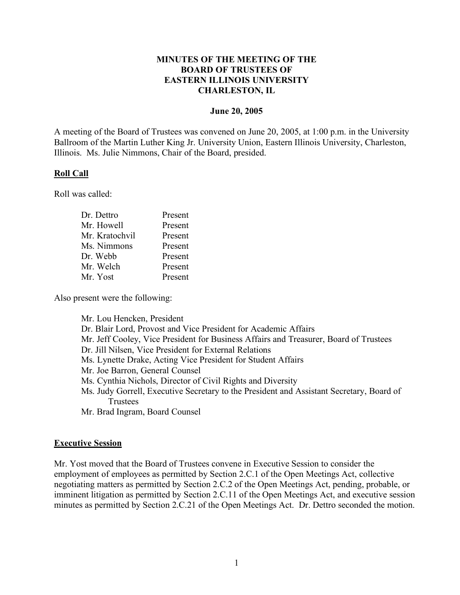### **MINUTES OF THE MEETING OF THE BOARD OF TRUSTEES OF EASTERN ILLINOIS UNIVERSITY CHARLESTON, IL**

#### **June 20, 2005**

A meeting of the Board of Trustees was convened on June 20, 2005, at 1:00 p.m. in the University Ballroom of the Martin Luther King Jr. University Union, Eastern Illinois University, Charleston, Illinois. Ms. Julie Nimmons, Chair of the Board, presided.

### **Roll Call**

Roll was called:

| Present |
|---------|
| Present |
| Present |
| Present |
| Present |
| Present |
| Present |
|         |

Also present were the following:

Mr. Lou Hencken, President Dr. Blair Lord, Provost and Vice President for Academic Affairs Mr. Jeff Cooley, Vice President for Business Affairs and Treasurer, Board of Trustees Dr. Jill Nilsen, Vice President for External Relations Ms. Lynette Drake, Acting Vice President for Student Affairs Mr. Joe Barron, General Counsel Ms. Cynthia Nichols, Director of Civil Rights and Diversity Ms. Judy Gorrell, Executive Secretary to the President and Assistant Secretary, Board of Trustees Mr. Brad Ingram, Board Counsel

# **Executive Session**

Mr. Yost moved that the Board of Trustees convene in Executive Session to consider the employment of employees as permitted by Section 2.C.1 of the Open Meetings Act, collective negotiating matters as permitted by Section 2.C.2 of the Open Meetings Act, pending, probable, or imminent litigation as permitted by Section 2.C.11 of the Open Meetings Act, and executive session minutes as permitted by Section 2.C.21 of the Open Meetings Act. Dr. Dettro seconded the motion.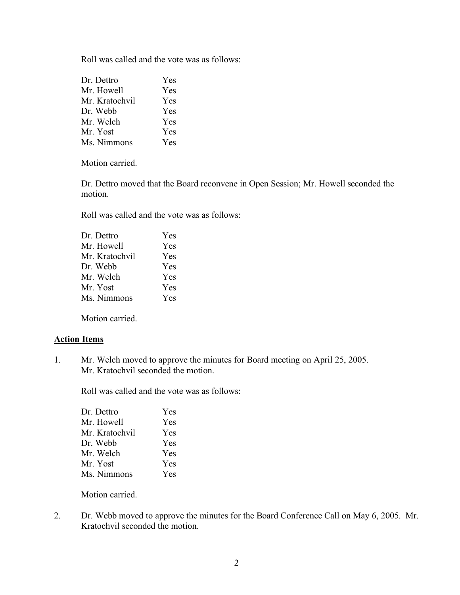Roll was called and the vote was as follows:

| Dr. Dettro     | Yes        |
|----------------|------------|
| Mr. Howell     | <b>Yes</b> |
| Mr. Kratochvil | <b>Yes</b> |
| Dr. Webb       | Yes        |
| Mr. Welch      | <b>Yes</b> |
| Mr. Yost       | <b>Yes</b> |
| Ms. Nimmons    | Yes        |

Motion carried.

Dr. Dettro moved that the Board reconvene in Open Session; Mr. Howell seconded the motion.

Roll was called and the vote was as follows:

| Dr. Dettro     | Yes        |
|----------------|------------|
| Mr. Howell     | Yes        |
| Mr. Kratochvil | Yes        |
| Dr. Webb       | Yes        |
| Mr. Welch      | <b>Yes</b> |
| Mr. Yost       | <b>Yes</b> |
| Ms. Nimmons    | Yes        |
|                |            |

Motion carried.

### **Action Items**

1. Mr. Welch moved to approve the minutes for Board meeting on April 25, 2005. Mr. Kratochvil seconded the motion.

Roll was called and the vote was as follows:

| Yes |
|-----|
| Yes |
| Yes |
| Yes |
| Yes |
| Yes |
| Yes |
|     |

Motion carried.

2. Dr. Webb moved to approve the minutes for the Board Conference Call on May 6, 2005. Mr. Kratochvil seconded the motion.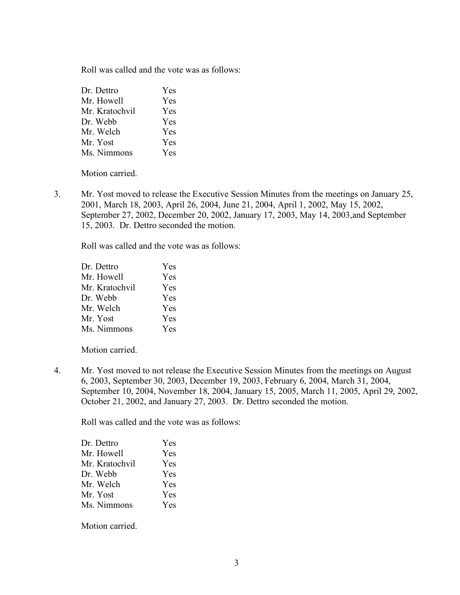Roll was called and the vote was as follows:

| Dr. Dettro     | <b>Yes</b> |
|----------------|------------|
| Mr. Howell     | <b>Yes</b> |
| Mr. Kratochvil | <b>Yes</b> |
| Dr. Webb       | <b>Yes</b> |
| Mr. Welch      | <b>Yes</b> |
| Mr. Yost       | <b>Yes</b> |
| Ms. Nimmons    | Yes        |

Motion carried.

3. Mr. Yost moved to release the Executive Session Minutes from the meetings on January 25, 2001, March 18, 2003, April 26, 2004, June 21, 2004, April 1, 2002, May 15, 2002, September 27, 2002, December 20, 2002, January 17, 2003, May 14, 2003,and September 15, 2003. Dr. Dettro seconded the motion.

Roll was called and the vote was as follows:

| Dr. Dettro     | Yes        |
|----------------|------------|
| Mr. Howell     | Yes        |
| Mr. Kratochvil | Yes        |
| Dr. Webb       | Yes        |
| Mr. Welch      | <b>Yes</b> |
| Mr. Yost       | Yes        |
| Ms. Nimmons    | Yes        |

Motion carried.

4. Mr. Yost moved to not release the Executive Session Minutes from the meetings on August 6, 2003, September 30, 2003, December 19, 2003, February 6, 2004, March 31, 2004, September 10, 2004, November 18, 2004, January 15, 2005, March 11, 2005, April 29, 2002, October 21, 2002, and January 27, 2003. Dr. Dettro seconded the motion.

Roll was called and the vote was as follows:

| Dr. Dettro     | <b>Yes</b> |
|----------------|------------|
| Mr. Howell     | Yes        |
| Mr. Kratochvil | Yes        |
| Dr. Webb       | <b>Yes</b> |
| Mr. Welch      | Yes        |
| Mr. Yost       | <b>Yes</b> |
| Ms. Nimmons    | Yes        |
|                |            |

Motion carried.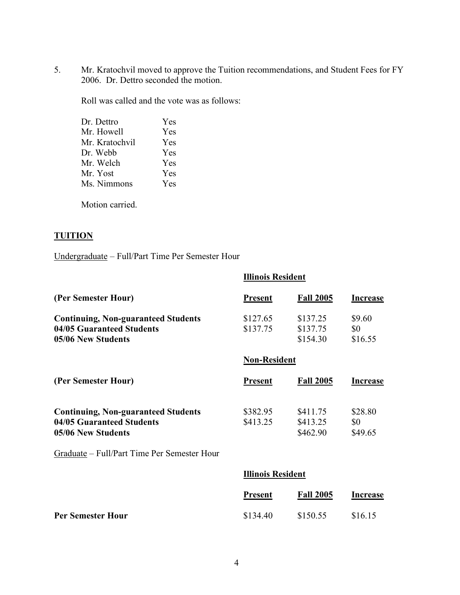5. Mr. Kratochvil moved to approve the Tuition recommendations, and Student Fees for FY 2006. Dr. Dettro seconded the motion.

Roll was called and the vote was as follows:

| Dr. Dettro     | Yes |
|----------------|-----|
| Mr. Howell     | Yes |
| Mr. Kratochvil | Yes |
| Dr. Webb       | Yes |
| Mr. Welch      | Yes |
| Mr. Yost       | Yes |
| Ms. Nimmons    | Yes |
|                |     |

Motion carried.

# **TUITION**

Undergraduate – Full/Part Time Per Semester Hour

|                                                                                               | <b>Illinois Resident</b> |                                  |                           |  |
|-----------------------------------------------------------------------------------------------|--------------------------|----------------------------------|---------------------------|--|
| (Per Semester Hour)                                                                           | <b>Present</b>           | <b>Fall 2005</b>                 | Increase                  |  |
| <b>Continuing, Non-guaranteed Students</b><br>04/05 Guaranteed Students<br>05/06 New Students | \$127.65<br>\$137.75     | \$137.25<br>\$137.75<br>\$154.30 | \$9.60<br>\$0<br>\$16.55  |  |
|                                                                                               | <b>Non-Resident</b>      |                                  |                           |  |
| (Per Semester Hour)                                                                           | <b>Present</b>           | <b>Fall 2005</b>                 | <b>Increase</b>           |  |
| <b>Continuing, Non-guaranteed Students</b><br>04/05 Guaranteed Students<br>05/06 New Students | \$382.95<br>\$413.25     | \$411.75<br>\$413.25<br>\$462.90 | \$28.80<br>\$0<br>\$49.65 |  |
| Graduate – Full/Part Time Per Semester Hour                                                   |                          |                                  |                           |  |
|                                                                                               | <b>Illinois Resident</b> |                                  |                           |  |
|                                                                                               | <b>Present</b>           | <b>Fall 2005</b>                 | Increase                  |  |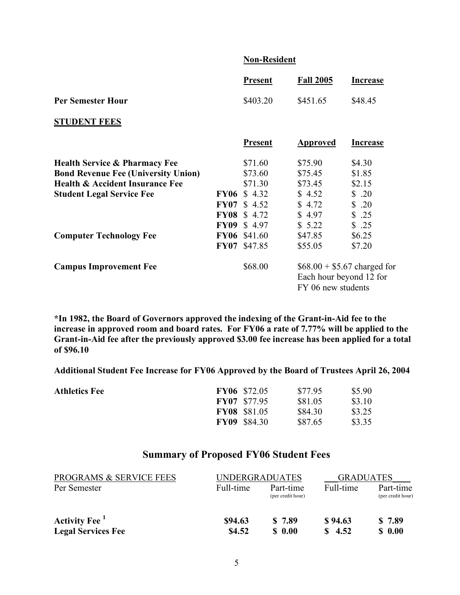### **Non-Resident**

|                                            |             | <b>Present</b> | <b>Fall 2005</b>                                                              | <b>Increase</b> |
|--------------------------------------------|-------------|----------------|-------------------------------------------------------------------------------|-----------------|
| <b>Per Semester Hour</b>                   |             | \$403.20       | \$451.65                                                                      | \$48.45         |
| <b>STUDENT FEES</b>                        |             |                |                                                                               |                 |
|                                            |             | <b>Present</b> | Approved                                                                      | <b>Increase</b> |
| <b>Health Service &amp; Pharmacy Fee</b>   |             | \$71.60        | \$75.90                                                                       | \$4.30          |
| <b>Bond Revenue Fee (University Union)</b> |             | \$73.60        | \$75.45                                                                       | \$1.85          |
| <b>Health &amp; Accident Insurance Fee</b> |             | \$71.30        | \$73.45                                                                       | \$2.15          |
| <b>Student Legal Service Fee</b>           | <b>FY06</b> | \$4.32         | \$4.52                                                                        | \$.20           |
|                                            | <b>FY07</b> | \$4.52         | \$4.72                                                                        | \$.20           |
|                                            | <b>FY08</b> | \$4.72         | \$4.97                                                                        | \$.25           |
|                                            | <b>FY09</b> | \$4.97         | \$5.22                                                                        | \$.25           |
| <b>Computer Technology Fee</b>             | <b>FY06</b> | \$41.60        | \$47.85                                                                       | \$6.25          |
|                                            | <b>FY07</b> | \$47.85        | \$55.05                                                                       | \$7.20          |
| <b>Campus Improvement Fee</b>              |             | \$68.00        | $$68.00 + $5.67$ charged for<br>Each hour beyond 12 for<br>FY 06 new students |                 |

**\*In 1982, the Board of Governors approved the indexing of the Grant-in-Aid fee to the increase in approved room and board rates. For FY06 a rate of 7.77% will be applied to the Grant-in-Aid fee after the previously approved \$3.00 fee increase has been applied for a total of \$96.10**

**Additional Student Fee Increase for FY06 Approved by the Board of Trustees April 26, 2004**

| <b>Athletics Fee</b> | <b>FY06</b> \$72.05 | \$77.95 | \$5.90 |
|----------------------|---------------------|---------|--------|
|                      | <b>FY07</b> \$77.95 | \$81.05 | \$3.10 |
|                      | <b>FY08</b> \$81.05 | \$84.30 | \$3.25 |
|                      | <b>FY09</b> \$84.30 | \$87.65 | \$3.35 |

# **Summary of Proposed FY06 Student Fees**

| <b>PROGRAMS &amp; SERVICE FEES</b> | <b>UNDERGRADUATES</b> |                                | <b>GRADUATES</b>     |                                |
|------------------------------------|-----------------------|--------------------------------|----------------------|--------------------------------|
| Per Semester                       | Full-time             | Part-time<br>(per credit hour) | Full-time            | Part-time<br>(per credit hour) |
| <b>Activity Fee</b> <sup>1</sup>   | \$94.63               | \$7.89                         | \$94.63              | \$7.89                         |
| <b>Legal Services Fee</b>          | \$4.52                | $\boldsymbol{\mathsf{S}}$ 0.00 | $\frac{\$}{10}$ 4.52 | $S$ 0.00                       |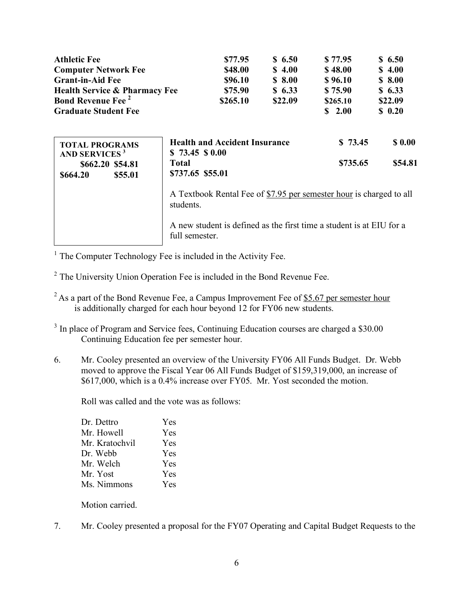| <b>Athletic Fee</b>                                                                                 | \$77.95                                                                                | \$6.50  | \$77.95             | \$6.50             |
|-----------------------------------------------------------------------------------------------------|----------------------------------------------------------------------------------------|---------|---------------------|--------------------|
| <b>Computer Network Fee</b>                                                                         | \$48.00                                                                                | \$4.00  | \$48.00             | \$4.00             |
| <b>Grant-in-Aid Fee</b>                                                                             | \$96.10                                                                                | \$8.00  | \$96.10             | \$8.00             |
| <b>Health Service &amp; Pharmacy Fee</b>                                                            | \$75.90                                                                                | \$6.33  | \$75.90             | \$6.33             |
| <b>Bond Revenue Fee</b> <sup>2</sup>                                                                | \$265.10                                                                               | \$22.09 | \$265.10            | \$22.09            |
| <b>Graduate Student Fee</b>                                                                         |                                                                                        |         | \$2.00              | \$0.20             |
| <b>TOTAL PROGRAMS</b><br><b>AND SERVICES<sup>3</sup></b><br>\$662.20 \$54.81<br>\$664.20<br>\$55.01 | <b>Health and Accident Insurance</b><br>\$73.45\$0.00<br>Total<br>\$737.65 \$55.01     |         | \$73.45<br>\$735.65 | \$ 0.00<br>\$54.81 |
|                                                                                                     | A Textbook Rental Fee of \$7.95 per semester hour is charged to all<br>students.       |         |                     |                    |
|                                                                                                     | A new student is defined as the first time a student is at EIU for a<br>full semester. |         |                     |                    |

<sup>1</sup> The Computer Technology Fee is included in the Activity Fee.

- <sup>2</sup> The University Union Operation Fee is included in the Bond Revenue Fee.
- $2$ As a part of the Bond Revenue Fee, a Campus Improvement Fee of \$5.67 per semester hour is additionally charged for each hour beyond 12 for FY06 new students.
- <sup>3</sup> In place of Program and Service fees, Continuing Education courses are charged a \$30.00 Continuing Education fee per semester hour.
- 6. Mr. Cooley presented an overview of the University FY06 All Funds Budget. Dr. Webb moved to approve the Fiscal Year 06 All Funds Budget of \$159,319,000, an increase of \$617,000, which is a 0.4% increase over FY05. Mr. Yost seconded the motion.

Roll was called and the vote was as follows:

| Yes        |
|------------|
| Yes        |
| Yes        |
| Yes        |
| <b>Yes</b> |
| Yes        |
| Yes        |
|            |

Motion carried.

7. Mr. Cooley presented a proposal for the FY07 Operating and Capital Budget Requests to the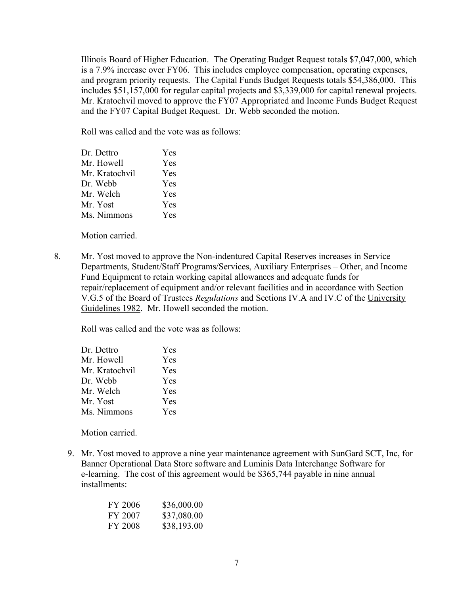Illinois Board of Higher Education. The Operating Budget Request totals \$7,047,000, which is a 7.9% increase over FY06. This includes employee compensation, operating expenses, and program priority requests. The Capital Funds Budget Requests totals \$54,386,000. This includes \$51,157,000 for regular capital projects and \$3,339,000 for capital renewal projects. Mr. Kratochvil moved to approve the FY07 Appropriated and Income Funds Budget Request and the FY07 Capital Budget Request. Dr. Webb seconded the motion.

Roll was called and the vote was as follows:

| Dr. Dettro     | <b>Yes</b> |
|----------------|------------|
| Mr. Howell     | Yes        |
| Mr. Kratochvil | Yes        |
| Dr. Webb       | <b>Yes</b> |
| Mr. Welch      | Yes        |
| Mr. Yost       | Yes        |
| Ms. Nimmons    | Yes        |
|                |            |

Motion carried.

8. Mr. Yost moved to approve the Non-indentured Capital Reserves increases in Service Departments, Student/Staff Programs/Services, Auxiliary Enterprises – Other, and Income Fund Equipment to retain working capital allowances and adequate funds for repair/replacement of equipment and/or relevant facilities and in accordance with Section V.G.5 of the Board of Trustees *Regulations* and Sections IV.A and IV.C of the University Guidelines 1982. Mr. Howell seconded the motion.

Roll was called and the vote was as follows:

| Dr. Dettro     | Yes |
|----------------|-----|
| Mr. Howell     | Yes |
| Mr. Kratochvil | Yes |
| Dr. Webb       | Yes |
| Mr. Welch      | Yes |
| Mr. Yost       | Yes |
| Ms. Nimmons    | Yes |

Motion carried.

9. Mr. Yost moved to approve a nine year maintenance agreement with SunGard SCT, Inc, for Banner Operational Data Store software and Luminis Data Interchange Software for e-learning. The cost of this agreement would be \$365,744 payable in nine annual installments:

| <b>FY 2006</b> | \$36,000.00 |
|----------------|-------------|
| FY 2007        | \$37,080.00 |
| FY 2008        | \$38,193.00 |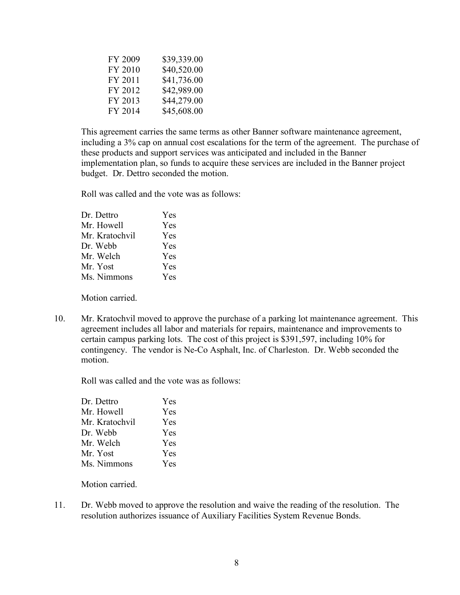| FY 2009 | \$39,339.00 |
|---------|-------------|
| FY 2010 | \$40,520.00 |
| FY 2011 | \$41,736.00 |
| FY 2012 | \$42,989.00 |
| FY 2013 | \$44,279.00 |
| FY 2014 | \$45,608.00 |

This agreement carries the same terms as other Banner software maintenance agreement, including a 3% cap on annual cost escalations for the term of the agreement. The purchase of these products and support services was anticipated and included in the Banner implementation plan, so funds to acquire these services are included in the Banner project budget. Dr. Dettro seconded the motion.

Roll was called and the vote was as follows:

| Dr. Dettro     | Yes |
|----------------|-----|
| Mr. Howell     | Yes |
| Mr. Kratochvil | Yes |
| Dr. Webb       | Yes |
| Mr. Welch      | Yes |
| Mr. Yost       | Yes |
| Ms. Nimmons    | Yes |
|                |     |

Motion carried.

10. Mr. Kratochvil moved to approve the purchase of a parking lot maintenance agreement. This agreement includes all labor and materials for repairs, maintenance and improvements to certain campus parking lots. The cost of this project is \$391,597, including 10% for contingency. The vendor is Ne-Co Asphalt, Inc. of Charleston. Dr. Webb seconded the motion.

Roll was called and the vote was as follows:

| Dr. Dettro     | Yes        |
|----------------|------------|
| Mr. Howell     | Yes        |
| Mr. Kratochvil | <b>Yes</b> |
| Dr. Webb       | <b>Yes</b> |
| Mr. Welch      | Yes        |
| Mr. Yost       | <b>Yes</b> |
| Ms. Nimmons    | Yes        |
|                |            |

Motion carried.

11. Dr. Webb moved to approve the resolution and waive the reading of the resolution. The resolution authorizes issuance of Auxiliary Facilities System Revenue Bonds.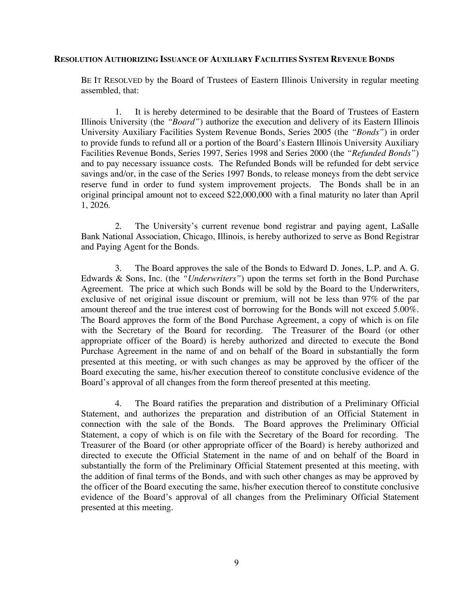#### **RESOLUTION AUTHORIZING ISSUANCE OF AUXILIARY FACILITIES SYSTEM REVENUE BONDS**

BE IT RESOLVED by the Board of Trustees of Eastern Illinois University in regular meeting assembled, that:

1. It is hereby determined to be desirable that the Board of Trustees of Eastern Illinois University (the *"Board"*) authorize the execution and delivery of its Eastern Illinois University Auxiliary Facilities System Revenue Bonds, Series 2005 (the *"Bonds"*) in order to provide funds to refund all or a portion of the Board's Eastern Illinois University Auxiliary Facilities Revenue Bonds, Series 1997, Series 1998 and Series 2000 (the *"Refunded Bonds"*) and to pay necessary issuance costs. The Refunded Bonds will be refunded for debt service savings and/or, in the case of the Series 1997 Bonds, to release moneys from the debt service reserve fund in order to fund system improvement projects. The Bonds shall be in an original principal amount not to exceed \$22,000,000 with a final maturity no later than April 1, 2026.

2. The University's current revenue bond registrar and paying agent, LaSalle Bank National Association, Chicago, Illinois, is hereby authorized to serve as Bond Registrar and Paying Agent for the Bonds.

3. The Board approves the sale of the Bonds to Edward D. Jones, L.P. and A. G. Edwards & Sons, Inc. (the *"Underwriters"*) upon the terms set forth in the Bond Purchase Agreement. The price at which such Bonds will be sold by the Board to the Underwriters, exclusive of net original issue discount or premium, will not be less than 97% of the par amount thereof and the true interest cost of borrowing for the Bonds will not exceed 5.00%. The Board approves the form of the Bond Purchase Agreement, a copy of which is on file with the Secretary of the Board for recording. The Treasurer of the Board (or other appropriate officer of the Board) is hereby authorized and directed to execute the Bond Purchase Agreement in the name of and on behalf of the Board in substantially the form presented at this meeting, or with such changes as may be approved by the officer of the Board executing the same, his/her execution thereof to constitute conclusive evidence of the Board's approval of all changes from the form thereof presented at this meeting.

4. The Board ratifies the preparation and distribution of a Preliminary Official Statement, and authorizes the preparation and distribution of an Official Statement in connection with the sale of the Bonds. The Board approves the Preliminary Official Statement, a copy of which is on file with the Secretary of the Board for recording. The Treasurer of the Board (or other appropriate officer of the Board) is hereby authorized and directed to execute the Official Statement in the name of and on behalf of the Board in substantially the form of the Preliminary Official Statement presented at this meeting, with the addition of final terms of the Bonds, and with such other changes as may be approved by the officer of the Board executing the same, his/her execution thereof to constitute conclusive evidence of the Board's approval of all changes from the Preliminary Official Statement presented at this meeting.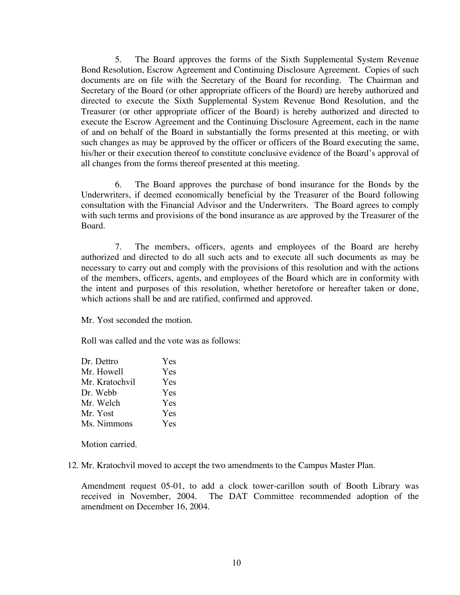5. The Board approves the forms of the Sixth Supplemental System Revenue Bond Resolution, Escrow Agreement and Continuing Disclosure Agreement. Copies of such documents are on file with the Secretary of the Board for recording. The Chairman and Secretary of the Board (or other appropriate officers of the Board) are hereby authorized and directed to execute the Sixth Supplemental System Revenue Bond Resolution, and the Treasurer (or other appropriate officer of the Board) is hereby authorized and directed to execute the Escrow Agreement and the Continuing Disclosure Agreement, each in the name of and on behalf of the Board in substantially the forms presented at this meeting, or with such changes as may be approved by the officer or officers of the Board executing the same, his/her or their execution thereof to constitute conclusive evidence of the Board's approval of all changes from the forms thereof presented at this meeting.

6. The Board approves the purchase of bond insurance for the Bonds by the Underwriters, if deemed economically beneficial by the Treasurer of the Board following consultation with the Financial Advisor and the Underwriters. The Board agrees to comply with such terms and provisions of the bond insurance as are approved by the Treasurer of the Board.

7. The members, officers, agents and employees of the Board are hereby authorized and directed to do all such acts and to execute all such documents as may be necessary to carry out and comply with the provisions of this resolution and with the actions of the members, officers, agents, and employees of the Board which are in conformity with the intent and purposes of this resolution, whether heretofore or hereafter taken or done, which actions shall be and are ratified, confirmed and approved.

Mr. Yost seconded the motion.

Roll was called and the vote was as follows:

| Dr. Dettro     | Yes        |
|----------------|------------|
| Mr. Howell     | Yes        |
| Mr. Kratochvil | Yes        |
| Dr. Webb       | <b>Yes</b> |
| Mr. Welch      | <b>Yes</b> |
| Mr. Yost       | Yes        |
| Ms. Nimmons    | Yes        |

Motion carried.

12. Mr. Kratochvil moved to accept the two amendments to the Campus Master Plan.

Amendment request 05-01, to add a clock tower-carillon south of Booth Library was received in November, 2004. The DAT Committee recommended adoption of the amendment on December 16, 2004.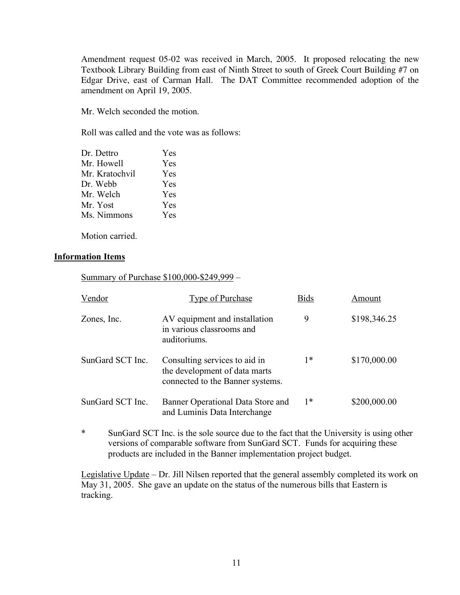Amendment request 05-02 was received in March, 2005. It proposed relocating the new Textbook Library Building from east of Ninth Street to south of Greek Court Building #7 on Edgar Drive, east of Carman Hall. The DAT Committee recommended adoption of the amendment on April 19, 2005.

Mr. Welch seconded the motion.

Roll was called and the vote was as follows:

| Dr. Dettro     | Yes        |
|----------------|------------|
| Mr. Howell     | Yes        |
| Mr. Kratochvil | Yes        |
| Dr. Webb       | <b>Yes</b> |
| Mr. Welch      | <b>Yes</b> |
| Mr. Yost       | <b>Yes</b> |
| Ms. Nimmons    | Yes        |
|                |            |

Motion carried.

### **Information Items**

Summary of Purchase \$100,000-\$249,999 –

| Vendor           | Type of Purchase                                                                                   | <b>Bids</b> | Amount       |
|------------------|----------------------------------------------------------------------------------------------------|-------------|--------------|
| Zones, Inc.      | AV equipment and installation<br>in various classrooms and<br>auditoriums.                         | 9           | \$198,346.25 |
| SunGard SCT Inc. | Consulting services to aid in<br>the development of data marts<br>connected to the Banner systems. | $1*$        | \$170,000.00 |
| SunGard SCT Inc. | Banner Operational Data Store and<br>and Luminis Data Interchange                                  | 1*          | \$200,000.00 |

\* SunGard SCT Inc. is the sole source due to the fact that the University is using other versions of comparable software from SunGard SCT. Funds for acquiring these products are included in the Banner implementation project budget.

Legislative Update – Dr. Jill Nilsen reported that the general assembly completed its work on May 31, 2005. She gave an update on the status of the numerous bills that Eastern is tracking.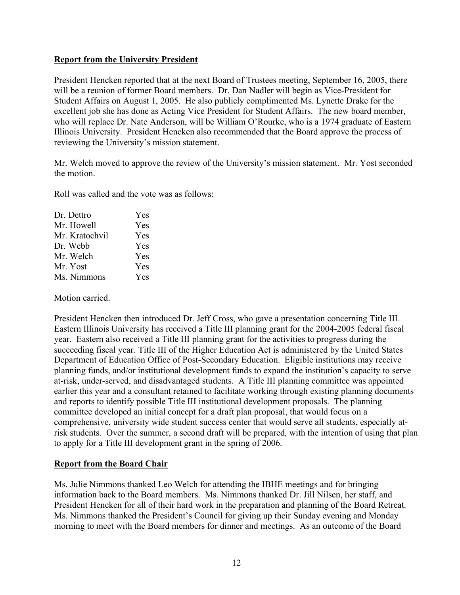### **Report from the University President**

President Hencken reported that at the next Board of Trustees meeting, September 16, 2005, there will be a reunion of former Board members. Dr. Dan Nadler will begin as Vice-President for Student Affairs on August 1, 2005. He also publicly complimented Ms. Lynette Drake for the excellent job she has done as Acting Vice President for Student Affairs. The new board member, who will replace Dr. Nate Anderson, will be William O'Rourke, who is a 1974 graduate of Eastern Illinois University. President Hencken also recommended that the Board approve the process of reviewing the University's mission statement.

Mr. Welch moved to approve the review of the University's mission statement. Mr. Yost seconded the motion.

Roll was called and the vote was as follows:

| Yes |
|-----|
|     |
| Yes |
| Yes |
| Yes |
| Yes |
| Yes |
|     |

Motion carried.

President Hencken then introduced Dr. Jeff Cross, who gave a presentation concerning Title III. Eastern Illinois University has received a Title III planning grant for the 2004-2005 federal fiscal year. Eastern also received a Title III planning grant for the activities to progress during the succeeding fiscal year. Title III of the Higher Education Act is administered by the United States Department of Education Office of Post-Secondary Education. Eligible institutions may receive planning funds, and/or institutional development funds to expand the institution's capacity to serve at-risk, under-served, and disadvantaged students. A Title III planning committee was appointed earlier this year and a consultant retained to facilitate working through existing planning documents and reports to identify possible Title III institutional development proposals. The planning committee developed an initial concept for a draft plan proposal, that would focus on a comprehensive, university wide student success center that would serve all students, especially atrisk students. Over the summer, a second draft will be prepared, with the intention of using that plan to apply for a Title III development grant in the spring of 2006.

# **Report from the Board Chair**

Ms. Julie Nimmons thanked Leo Welch for attending the IBHE meetings and for bringing information back to the Board members. Ms. Nimmons thanked Dr. Jill Nilsen, her staff, and President Hencken for all of their hard work in the preparation and planning of the Board Retreat. Ms. Nimmons thanked the President's Council for giving up their Sunday evening and Monday morning to meet with the Board members for dinner and meetings. As an outcome of the Board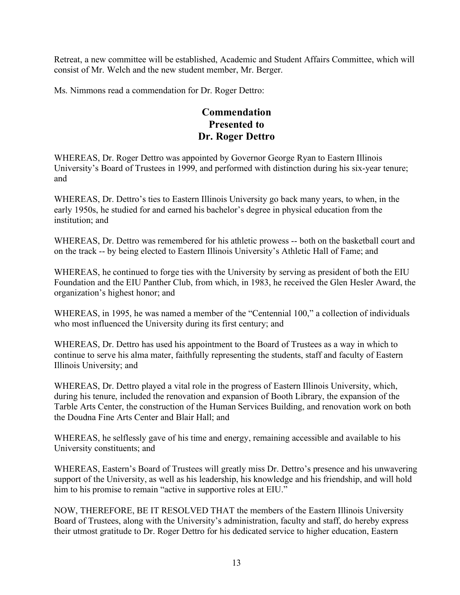Retreat, a new committee will be established, Academic and Student Affairs Committee, which will consist of Mr. Welch and the new student member, Mr. Berger.

Ms. Nimmons read a commendation for Dr. Roger Dettro:

# **Commendation Presented to Dr. Roger Dettro**

WHEREAS, Dr. Roger Dettro was appointed by Governor George Ryan to Eastern Illinois University's Board of Trustees in 1999, and performed with distinction during his six-year tenure; and

WHEREAS, Dr. Dettro's ties to Eastern Illinois University go back many years, to when, in the early 1950s, he studied for and earned his bachelor's degree in physical education from the institution; and

WHEREAS, Dr. Dettro was remembered for his athletic prowess -- both on the basketball court and on the track -- by being elected to Eastern Illinois University's Athletic Hall of Fame; and

WHEREAS, he continued to forge ties with the University by serving as president of both the EIU Foundation and the EIU Panther Club, from which, in 1983, he received the Glen Hesler Award, the organization's highest honor; and

WHEREAS, in 1995, he was named a member of the "Centennial 100," a collection of individuals who most influenced the University during its first century; and

WHEREAS, Dr. Dettro has used his appointment to the Board of Trustees as a way in which to continue to serve his alma mater, faithfully representing the students, staff and faculty of Eastern Illinois University; and

WHEREAS, Dr. Dettro played a vital role in the progress of Eastern Illinois University, which, during his tenure, included the renovation and expansion of Booth Library, the expansion of the Tarble Arts Center, the construction of the Human Services Building, and renovation work on both the Doudna Fine Arts Center and Blair Hall; and

WHEREAS, he selflessly gave of his time and energy, remaining accessible and available to his University constituents; and

WHEREAS, Eastern's Board of Trustees will greatly miss Dr. Dettro's presence and his unwavering support of the University, as well as his leadership, his knowledge and his friendship, and will hold him to his promise to remain "active in supportive roles at EIU."

NOW, THEREFORE, BE IT RESOLVED THAT the members of the Eastern Illinois University Board of Trustees, along with the University's administration, faculty and staff, do hereby express their utmost gratitude to Dr. Roger Dettro for his dedicated service to higher education, Eastern